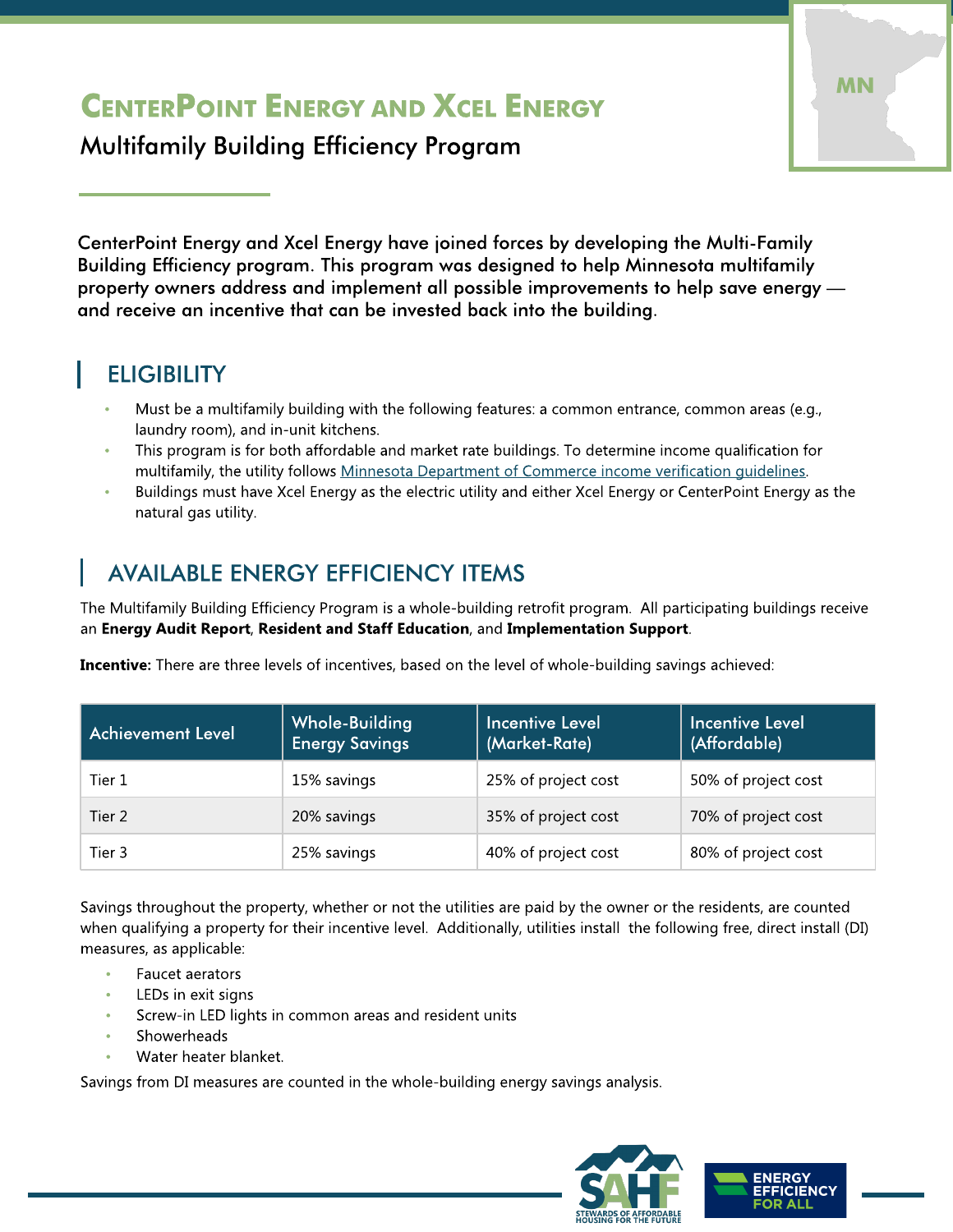# CENTERPOINT ENERGY AND XCEL ENERGY

Multifamily Building Efficiency Program

CenterPoint Energy and Xcel Energy have joined forces by developing the Multi-Family Building Efficiency program. This program was designed to help Minnesota multifamily property owners address and implement all possible improvements to help save energy and receive an incentive that can be invested back into the building.

### **ELIGIBILITY**

- Must be a multifamily building with the following features: a common entrance, common areas (e.g., laundry room), and in-unit kitchens.
- This program is for both affordable and market rate buildings. To determine income qualification for multifamily, the utility follows [Minnesota](http://mn.gov/commerce-stat/pdfs/conserve-prog-low-income-guide.pdf) [Department](http://mn.gov/commerce-stat/pdfs/conserve-prog-low-income-guide.pdf) [of](http://mn.gov/commerce-stat/pdfs/conserve-prog-low-income-guide.pdf) [Commerce](http://mn.gov/commerce-stat/pdfs/conserve-prog-low-income-guide.pdf) [income](http://mn.gov/commerce-stat/pdfs/conserve-prog-low-income-guide.pdf) [verification](http://mn.gov/commerce-stat/pdfs/conserve-prog-low-income-guide.pdf) [guidelines.](http://mn.gov/commerce-stat/pdfs/conserve-prog-low-income-guide.pdf)
- Buildings must have Xcel Energy as the electric utility and either Xcel Energy or CenterPoint Energy as the natural gas utility.

### **AVAILABLE ENERGY EFFICIENCY ITEMS**

The Multifamily Building Efficiency Program is a whole-building retrofit program. All participating buildings receive an Energy Audit Report, Resident and Staff Education, and Implementation Support.

Incentive: There are three levels of incentives, based on the level of whole-building savings achieved:

| <b>Achievement Level</b> | Whole-Building<br><b>Energy Savings</b> | <b>Incentive Level</b><br>(Market-Rate) | <b>Incentive Level</b><br>(Affordable) |
|--------------------------|-----------------------------------------|-----------------------------------------|----------------------------------------|
| Tier 1                   | 15% savings                             | 25% of project cost                     | 50% of project cost                    |
| Tier 2                   | 20% savings                             | 35% of project cost                     | 70% of project cost                    |
| Tier 3                   | 25% savings                             | 40% of project cost                     | 80% of project cost                    |

Savings throughout the property, whether or not the utilities are paid by the owner or the residents, are counted when qualifying a property for their incentive level. Additionally, utilities install the following free, direct install (DI) measures, as applicable:

- Faucet aerators
- LEDs in exit signs
- Screw-in LED lights in common areas and resident units
- **Showerheads**
- Water heater blanket.

Savings from DI measures are counted in the whole-building energy savings analysis.



MN